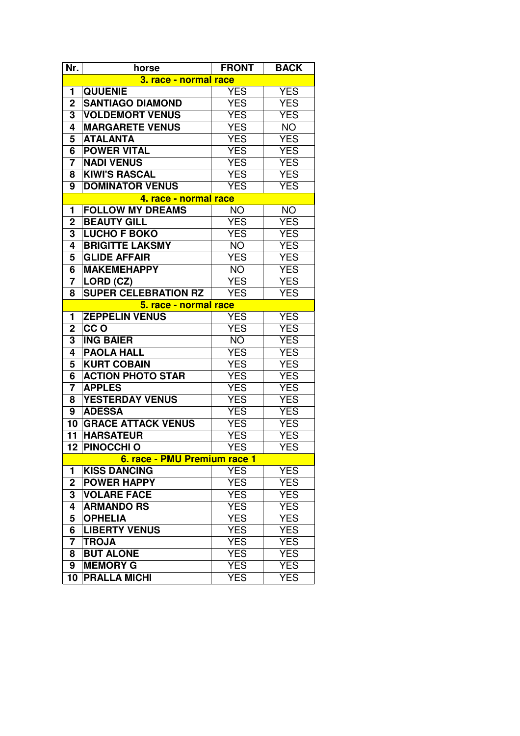| Nr.                     | horse                        | <b>FRONT</b> | <b>BACK</b>    |  |  |
|-------------------------|------------------------------|--------------|----------------|--|--|
|                         | 3. race - normal race        |              |                |  |  |
| 1                       | <b>QUUENIE</b>               | <b>YES</b>   | <b>YES</b>     |  |  |
| $\mathbf 2$             | <b>SANTIAGO DIAMOND</b>      | <b>YES</b>   | <b>YES</b>     |  |  |
| 3                       | <b>VOLDEMORT VENUS</b>       | <b>YES</b>   | <b>YES</b>     |  |  |
| $\overline{\mathbf{4}}$ | <b>MARGARETE VENUS</b>       | <b>YES</b>   | NO <sub></sub> |  |  |
| 5                       | <b>ATALANTA</b>              | <b>YES</b>   | <b>YES</b>     |  |  |
| 6                       | <b>POWER VITAL</b>           | <b>YES</b>   | <b>YES</b>     |  |  |
| $\overline{7}$          | <b>NADI VENUS</b>            | <b>YES</b>   | <b>YES</b>     |  |  |
| 8                       | <b>KIWI'S RASCAL</b>         | <b>YES</b>   | <b>YES</b>     |  |  |
| 9                       | <b>DOMINATOR VENUS</b>       | <b>YES</b>   | <b>YES</b>     |  |  |
| 4. race - normal race   |                              |              |                |  |  |
| 1                       | <b>FOLLOW MY DREAMS</b>      | <b>NO</b>    | <b>NO</b>      |  |  |
| $\overline{2}$          | <b>BEAUTY GILL</b>           | <b>YES</b>   | <b>YES</b>     |  |  |
| 3                       | <b>LUCHO F BOKO</b>          | YES          | <b>YES</b>     |  |  |
| 4                       | <b>BRIGITTE LAKSMY</b>       | <b>NO</b>    | <b>YES</b>     |  |  |
| 5                       | <b>GLIDE AFFAIR</b>          | <b>YES</b>   | <b>YES</b>     |  |  |
| 6                       | <b>MAKEMEHAPPY</b>           | <b>NO</b>    | <b>YES</b>     |  |  |
| $\overline{7}$          | LORD (CZ)                    | <b>YES</b>   | <b>YES</b>     |  |  |
| 8                       | <b>SUPER CELEBRATION RZ</b>  | <b>YES</b>   | <b>YES</b>     |  |  |
|                         | 5. race - normal race        |              |                |  |  |
| 1                       | <b>ZEPPELIN VENUS</b>        | <b>YES</b>   | <b>YES</b>     |  |  |
| $\overline{2}$          | CC <sub>O</sub>              | <b>YES</b>   | <b>YES</b>     |  |  |
| 3                       | <b>ING BAIER</b>             | <b>NO</b>    | <b>YES</b>     |  |  |
| $\overline{\mathbf{4}}$ | <b>PAOLA HALL</b>            | <b>YES</b>   | <b>YES</b>     |  |  |
| 5                       | <b>KURT COBAIN</b>           | <b>YES</b>   | <b>YES</b>     |  |  |
| 6                       | <b>ACTION PHOTO STAR</b>     | <b>YES</b>   | <b>YES</b>     |  |  |
| $\overline{7}$          | <b>APPLES</b>                | <b>YES</b>   | <b>YES</b>     |  |  |
| 8                       | <b>YESTERDAY VENUS</b>       | <b>YES</b>   | <b>YES</b>     |  |  |
| 9                       | <b>ADESSA</b>                | <b>YES</b>   | <b>YES</b>     |  |  |
| 10                      | <b>GRACE ATTACK VENUS</b>    | <b>YES</b>   | <b>YES</b>     |  |  |
| 11                      | <b>HARSATEUR</b>             | <b>YES</b>   | <b>YES</b>     |  |  |
| 12                      | PINOCCHI O                   | <b>YES</b>   | <b>YES</b>     |  |  |
|                         | 6. race - PMU Premium race 1 |              |                |  |  |
| 1                       | <b>KISS DANCING</b>          | <b>YES</b>   | <b>YES</b>     |  |  |
| $\mathbf 2$             | <b>POWER HAPPY</b>           | <b>YES</b>   | <b>YES</b>     |  |  |
| 3                       | <b>VOLARE FACE</b>           | <b>YES</b>   | <b>YES</b>     |  |  |
| $\overline{\mathbf{4}}$ | <b>ARMANDO RS</b>            | <b>YES</b>   | <b>YES</b>     |  |  |
| 5                       | <b>OPHELIA</b>               | <b>YES</b>   | <b>YES</b>     |  |  |
| 6                       | <b>LIBERTY VENUS</b>         | <b>YES</b>   | <b>YES</b>     |  |  |
| $\overline{7}$          | <b>TROJA</b>                 | <b>YES</b>   | <b>YES</b>     |  |  |
| 8                       | <b>BUT ALONE</b>             | <b>YES</b>   | <b>YES</b>     |  |  |
| 9                       | <b>MEMORY G</b>              | <b>YES</b>   | <b>YES</b>     |  |  |
| 10                      | <b>PRALLA MICHI</b>          | <b>YES</b>   | <b>YES</b>     |  |  |